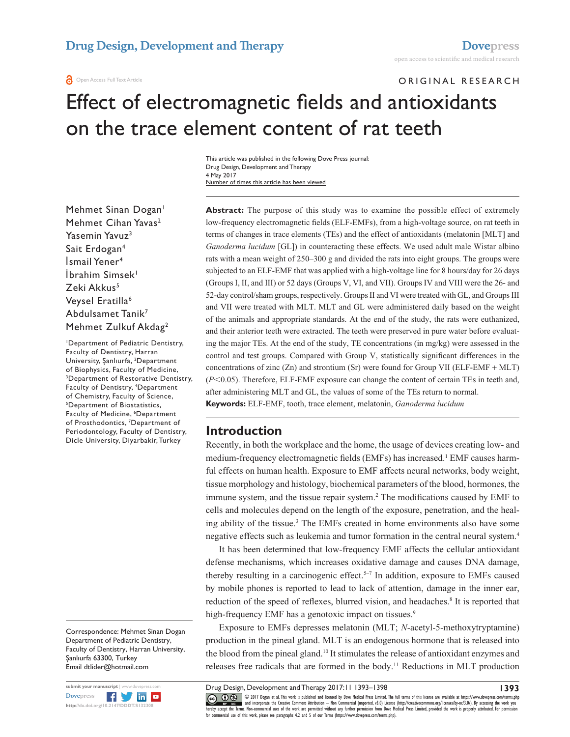**a** Open Access Full Text Article

# ORIGINAL RESEARCH Effect of electromagnetic fields and antioxidants on the trace element content of rat teeth

Number of times this article has been viewed This article was published in the following Dove Press journal: Drug Design, Development and Therapy 4 May 2017

Mehmet Sinan Dogan<sup>1</sup> Mehmet Cihan Yavas<sup>2</sup> Yasemin Yavuz<sup>3</sup> Sait Erdogan4 İsmail Yener<sup>4</sup> İbrahim Simsek<sup>1</sup> Zeki Akkus<sup>5</sup> Veysel Eratilla<sup>6</sup> Abdulsamet Tanik7 Mehmet Zulkuf Akdag2

1 Department of Pediatric Dentistry, Faculty of Dentistry, Harran University, Şanlıurfa, <sup>2</sup> Department of Biophysics, Faculty of Medicine, 3 Department of Restorative Dentistry, Faculty of Dentistry, 4 Department of Chemistry, Faculty of Science, Department of Biostatistics, Faculty of Medicine, <sup>6</sup>Department of Prosthodontics, 7 Department of Periodontology, Faculty of Dentistry, Dicle University, Diyarbakir, Turkey

Correspondence: Mehmet Sinan Dogan Department of Pediatric Dentistry, Faculty of Dentistry, Harran University, Şanlıurfa 63300, Turkey Email [dtlider@hotmail.com](mailto:dtlider@hotmail.com)



**Abstract:** The purpose of this study was to examine the possible effect of extremely low-frequency electromagnetic fields (ELF-EMFs), from a high-voltage source, on rat teeth in terms of changes in trace elements (TEs) and the effect of antioxidants (melatonin [MLT] and *Ganoderma lucidum* [GL]) in counteracting these effects. We used adult male Wistar albino rats with a mean weight of 250–300 g and divided the rats into eight groups. The groups were subjected to an ELF-EMF that was applied with a high-voltage line for 8 hours/day for 26 days (Groups I, II, and III) or 52 days (Groups V, VI, and VII). Groups IV and VIII were the 26- and 52-day control/sham groups, respectively. Groups II and VI were treated with GL, and Groups III and VII were treated with MLT. MLT and GL were administered daily based on the weight of the animals and appropriate standards. At the end of the study, the rats were euthanized, and their anterior teeth were extracted. The teeth were preserved in pure water before evaluating the major TEs. At the end of the study, TE concentrations (in mg/kg) were assessed in the control and test groups. Compared with Group V, statistically significant differences in the concentrations of zinc (Zn) and strontium (Sr) were found for Group VII (ELF-EMF + MLT) ( $P$ <0.05). Therefore, ELF-EMF exposure can change the content of certain TEs in teeth and, after administering MLT and GL, the values of some of the TEs return to normal. **Keywords:** ELF-EMF, tooth, trace element, melatonin, *Ganoderma lucidum*

### **Introduction**

Recently, in both the workplace and the home, the usage of devices creating low- and medium-frequency electromagnetic fields (EMFs) has increased.<sup>1</sup> EMF causes harmful effects on human health. Exposure to EMF affects neural networks, body weight, tissue morphology and histology, biochemical parameters of the blood, hormones, the immune system, and the tissue repair system.2 The modifications caused by EMF to cells and molecules depend on the length of the exposure, penetration, and the healing ability of the tissue.<sup>3</sup> The EMFs created in home environments also have some negative effects such as leukemia and tumor formation in the central neural system.4

It has been determined that low-frequency EMF affects the cellular antioxidant defense mechanisms, which increases oxidative damage and causes DNA damage, thereby resulting in a carcinogenic effect.<sup>5-7</sup> In addition, exposure to EMFs caused by mobile phones is reported to lead to lack of attention, damage in the inner ear, reduction of the speed of reflexes, blurred vision, and headaches.<sup>8</sup> It is reported that high-frequency EMF has a genotoxic impact on tissues.<sup>9</sup>

Exposure to EMFs depresses melatonin (MLT; *N*-acetyl-5-methoxytryptamine) production in the pineal gland. MLT is an endogenous hormone that is released into the blood from the pineal gland.10 It stimulates the release of antioxidant enzymes and releases free radicals that are formed in the body.11 Reductions in MLT production

Drug Design, Development and Therapy 2017:11 1393–1398

**1393**

CCC 1 © 2017 Dogan et al. This work is published and licensed by Dove Medical Press Limited. The full terms of this license are available at <https://www.dovepress.com/terms.php><br>[hereby accept the Terms](http://www.dovepress.com/permissions.php). Non-commercial uses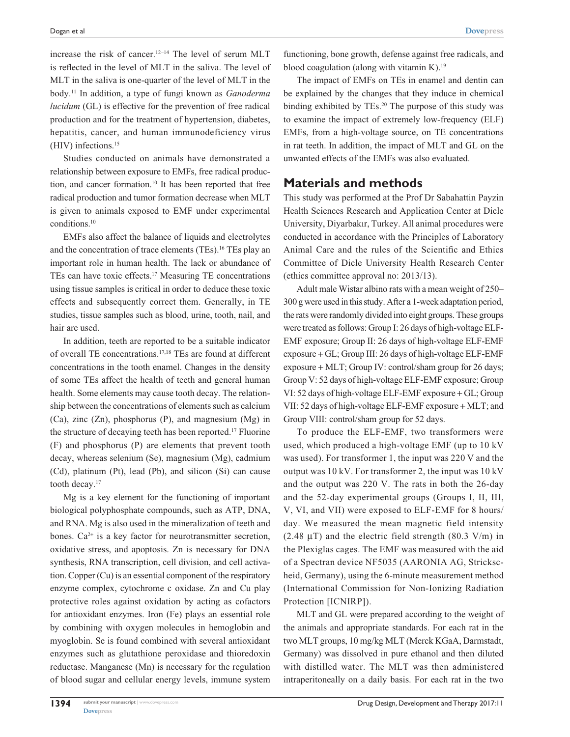increase the risk of cancer.12–14 The level of serum MLT is reflected in the level of MLT in the saliva. The level of MLT in the saliva is one-quarter of the level of MLT in the body.11 In addition, a type of fungi known as *Ganoderma lucidum* (GL) is effective for the prevention of free radical production and for the treatment of hypertension, diabetes, hepatitis, cancer, and human immunodeficiency virus (HIV) infections.15

Studies conducted on animals have demonstrated a relationship between exposure to EMFs, free radical production, and cancer formation.10 It has been reported that free radical production and tumor formation decrease when MLT is given to animals exposed to EMF under experimental conditions.10

EMFs also affect the balance of liquids and electrolytes and the concentration of trace elements (TEs).16 TEs play an important role in human health. The lack or abundance of TEs can have toxic effects.17 Measuring TE concentrations using tissue samples is critical in order to deduce these toxic effects and subsequently correct them. Generally, in TE studies, tissue samples such as blood, urine, tooth, nail, and hair are used.

In addition, teeth are reported to be a suitable indicator of overall TE concentrations.17,18 TEs are found at different concentrations in the tooth enamel. Changes in the density of some TEs affect the health of teeth and general human health. Some elements may cause tooth decay. The relationship between the concentrations of elements such as calcium (Ca), zinc (Zn), phosphorus (P), and magnesium (Mg) in the structure of decaying teeth has been reported.17 Fluorine (F) and phosphorus (P) are elements that prevent tooth decay, whereas selenium (Se), magnesium (Mg), cadmium (Cd), platinum (Pt), lead (Pb), and silicon (Si) can cause tooth decay.<sup>17</sup>

Mg is a key element for the functioning of important biological polyphosphate compounds, such as ATP, DNA, and RNA. Mg is also used in the mineralization of teeth and bones.  $Ca^{2+}$  is a key factor for neurotransmitter secretion, oxidative stress, and apoptosis. Zn is necessary for DNA synthesis, RNA transcription, cell division, and cell activation. Copper (Cu) is an essential component of the respiratory enzyme complex, cytochrome c oxidase. Zn and Cu play protective roles against oxidation by acting as cofactors for antioxidant enzymes. Iron (Fe) plays an essential role by combining with oxygen molecules in hemoglobin and myoglobin. Se is found combined with several antioxidant enzymes such as glutathione peroxidase and thioredoxin reductase. Manganese (Mn) is necessary for the regulation of blood sugar and cellular energy levels, immune system

functioning, bone growth, defense against free radicals, and blood coagulation (along with vitamin K).<sup>19</sup>

The impact of EMFs on TEs in enamel and dentin can be explained by the changes that they induce in chemical binding exhibited by TEs.<sup>20</sup> The purpose of this study was to examine the impact of extremely low-frequency (ELF) EMFs, from a high-voltage source, on TE concentrations in rat teeth. In addition, the impact of MLT and GL on the unwanted effects of the EMFs was also evaluated.

### **Materials and methods**

This study was performed at the Prof Dr Sabahattin Payzin Health Sciences Research and Application Center at Dicle University, Diyarbakır, Turkey. All animal procedures were conducted in accordance with the Principles of Laboratory Animal Care and the rules of the Scientific and Ethics Committee of Dicle University Health Research Center (ethics committee approval no: 2013/13).

Adult male Wistar albino rats with a mean weight of 250– 300 g were used in this study. After a 1-week adaptation period, the rats were randomly divided into eight groups. These groups were treated as follows: Group I: 26 days of high-voltage ELF-EMF exposure; Group II: 26 days of high-voltage ELF-EMF exposure + GL; Group III: 26 days of high-voltage ELF-EMF exposure + MLT; Group IV: control/sham group for 26 days; Group V: 52 days of high-voltage ELF-EMF exposure; Group VI: 52 days of high-voltage ELF-EMF exposure + GL; Group VII: 52 days of high-voltage ELF-EMF exposure + MLT; and Group VIII: control/sham group for 52 days.

To produce the ELF-EMF, two transformers were used, which produced a high-voltage EMF (up to 10 kV was used). For transformer 1, the input was 220 V and the output was 10 kV. For transformer 2, the input was 10 kV and the output was 220 V. The rats in both the 26-day and the 52-day experimental groups (Groups I, II, III, V, VI, and VII) were exposed to ELF-EMF for 8 hours/ day. We measured the mean magnetic field intensity (2.48  $\mu$ T) and the electric field strength (80.3 V/m) in the Plexiglas cages. The EMF was measured with the aid of a Spectran device NF5035 (AARONIA AG, Strickscheid, Germany), using the 6-minute measurement method (International Commission for Non-Ionizing Radiation Protection [ICNIRP]).

MLT and GL were prepared according to the weight of the animals and appropriate standards. For each rat in the two MLT groups, 10 mg/kg MLT (Merck KGaA, Darmstadt, Germany) was dissolved in pure ethanol and then diluted with distilled water. The MLT was then administered intraperitoneally on a daily basis. For each rat in the two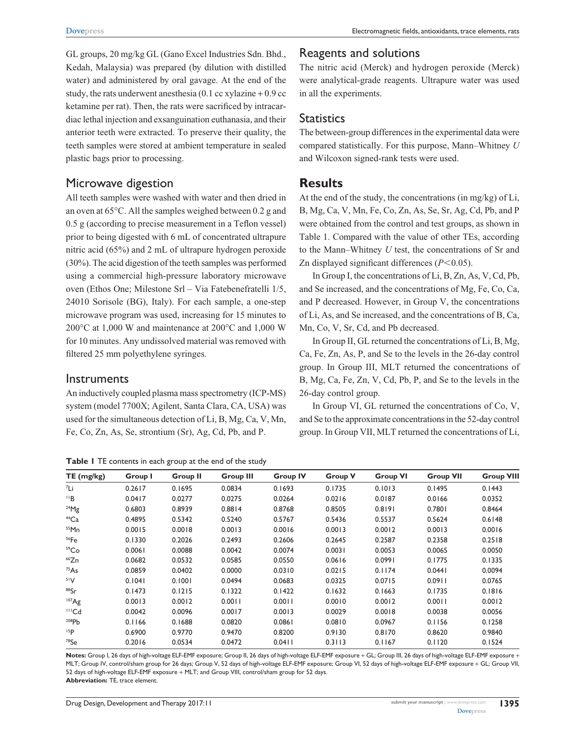GL groups, 20 mg/kg GL (Gano Excel Industries Sdn. Bhd., Kedah, Malaysia) was prepared (by dilution with distilled water) and administered by oral gavage. At the end of the study, the rats underwent anesthesia  $(0.1 \text{ cc} x$ ylazine + 0.9 cc ketamine per rat). Then, the rats were sacrificed by intracardiac lethal injection and exsanguination euthanasia, and their anterior teeth were extracted. To preserve their quality, the teeth samples were stored at ambient temperature in sealed plastic bags prior to processing.

### Microwave digestion

All teeth samples were washed with water and then dried in an oven at 65°C. All the samples weighed between 0.2 g and 0.5 g (according to precise measurement in a Teflon vessel) prior to being digested with 6 mL of concentrated ultrapure nitric acid (65%) and 2 mL of ultrapure hydrogen peroxide (30%). The acid digestion of the teeth samples was performed using a commercial high-pressure laboratory microwave oven (Ethos One; Milestone Srl – Via Fatebenefratelli 1/5, 24010 Sorisole (BG), Italy). For each sample, a one-step microwave program was used, increasing for 15 minutes to 200°C at 1,000 W and maintenance at 200°C and 1,000 W for 10 minutes. Any undissolved material was removed with filtered 25 mm polyethylene syringes.

#### **Instruments**

An inductively coupled plasma mass spectrometry (ICP-MS) system (model 7700X; Agilent, Santa Clara, CA, USA) was used for the simultaneous detection of Li, B, Mg, Ca, V, Mn, Fe, Co, Zn, As, Se, strontium (Sr), Ag, Cd, Pb, and P.

**Table 1** TE contents in each group at the end of the study

### Reagents and solutions

The nitric acid (Merck) and hydrogen peroxide (Merck) were analytical-grade reagents. Ultrapure water was used in all the experiments.

# **Statistics**

The between-group differences in the experimental data were compared statistically. For this purpose, Mann–Whitney *U* and Wilcoxon signed-rank tests were used.

# **Results**

At the end of the study, the concentrations (in mg/kg) of Li, B, Mg, Ca, V, Mn, Fe, Co, Zn, As, Se, Sr, Ag, Cd, Pb, and P were obtained from the control and test groups, as shown in Table 1. Compared with the value of other TEs, according to the Mann–Whitney *U* test, the concentrations of Sr and Zn displayed significant differences  $(P<0.05)$ .

In Group I, the concentrations of Li, B, Zn, As, V, Cd, Pb, and Se increased, and the concentrations of Mg, Fe, Co, Ca, and P decreased. However, in Group V, the concentrations of Li, As, and Se increased, and the concentrations of B, Ca, Mn, Co, V, Sr, Cd, and Pb decreased.

In Group II, GL returned the concentrations of Li, B, Mg, Ca, Fe, Zn, As, P, and Se to the levels in the 26-day control group. In Group III, MLT returned the concentrations of B, Mg, Ca, Fe, Zn, V, Cd, Pb, P, and Se to the levels in the 26-day control group.

In Group VI, GL returned the concentrations of Co, V, and Se to the approximate concentrations in the 52-day control group. In Group VII, MLT returned the concentrations of Li,

| TE(mg/kg)         | Group I | <b>Group II</b> | <b>Group III</b> | <b>Group IV</b> | <b>Group V</b> | <b>Group VI</b> | <b>Group VII</b> | <b>Group VIII</b> |
|-------------------|---------|-----------------|------------------|-----------------|----------------|-----------------|------------------|-------------------|
| <sup>7</sup> Li   | 0.2617  | 0.1695          | 0.0834           | 0.1693          | 0.1735         | 0.1013          | 0.1495           | 0.1443            |
| $\mathsf{H}$      | 0.0417  | 0.0277          | 0.0275           | 0.0264          | 0.0216         | 0.0187          | 0.0166           | 0.0352            |
| $^{24}Mg$         | 0.6803  | 0.8939          | 0.8814           | 0.8768          | 0.8505         | 0.8191          | 0.7801           | 0.8464            |
| $44$ Ca           | 0.4895  | 0.5342          | 0.5240           | 0.5767          | 0.5436         | 0.5537          | 0.5624           | 0.6148            |
| $55$ Mn           | 0.0015  | 0.0018          | 0.0013           | 0.0016          | 0.0013         | 0.0012          | 0.0013           | 0.0016            |
| 56Fe              | 0.1330  | 0.2026          | 0.2493           | 0.2606          | 0.2645         | 0.2587          | 0.2358           | 0.2518            |
| 59Co              | 0.0061  | 0.0088          | 0.0042           | 0.0074          | 0.0031         | 0.0053          | 0.0065           | 0.0050            |
| 66Zn              | 0.0682  | 0.0532          | 0.0585           | 0.0550          | 0.0616         | 0.0991          | 0.1775           | 0.1335            |
| 75As              | 0.0859  | 0.0402          | 0.0000           | 0.0310          | 0.0215         | 0.1174          | 0.0441           | 0.0094            |
| 51V               | 0.1041  | 0.1001          | 0.0494           | 0.0683          | 0.0325         | 0.0715          | 0.0911           | 0.0765            |
| 88Sr              | 0.1473  | 0.1215          | 0.1322           | 0.1422          | 0.1632         | 0.1663          | 0.1735           | 0.1816            |
| 107Ag             | 0.0013  | 0.0012          | 0.0011           | 0.0011          | 0.0010         | 0.0012          | 0.0011           | 0.0012            |
| $III$ Cd          | 0.0042  | 0.0096          | 0.0017           | 0.0013          | 0.0029         | 0.0018          | 0.0038           | 0.0056            |
| 208P <sub>b</sub> | 0.1166  | 0.1688          | 0.0820           | 0.0861          | 0.0810         | 0.0967          | 0.1156           | 0.1258            |
| 15P               | 0.6900  | 0.9770          | 0.9470           | 0.8200          | 0.9130         | 0.8170          | 0.8620           | 0.9840            |
| $78$ Se           | 0.2016  | 0.0534          | 0.0472           | 0.0411          | 0.3113         | 0.1167          | 0.1120           | 0.1524            |

**Notes:** Group I, 26 days of high-voltage ELF-EMF exposure; Group II, 26 days of high-voltage ELF-EMF exposure + GL; Group III, 26 days of high-voltage ELF-EMF exposure + MLT; Group IV, control/sham group for 26 days; Group V, 52 days of high-voltage ELF-EMF exposure; Group VI, 52 days of high-voltage ELF-EMF exposure + GL; Group VII, 52 days of high-voltage ELF-EMF exposure + MLT; and Group VIII, control/sham group for 52 days. **Abbreviation:** TE, trace element.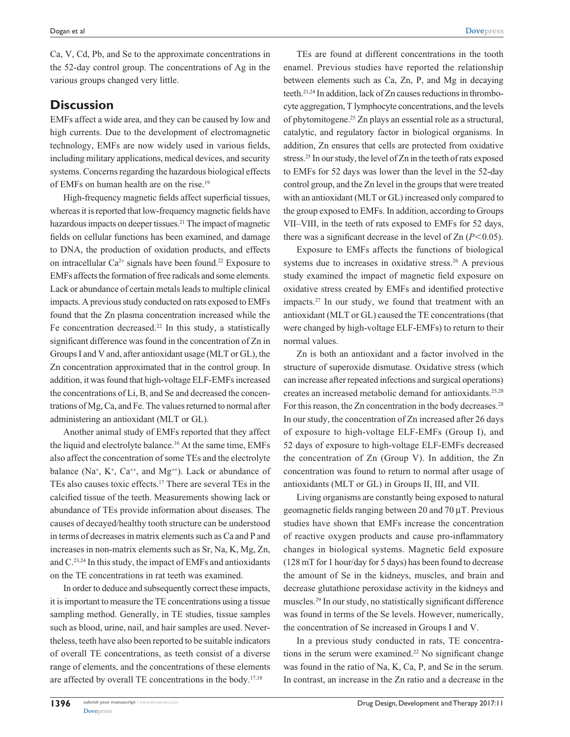Ca, V, Cd, Pb, and Se to the approximate concentrations in the 52-day control group. The concentrations of Ag in the various groups changed very little.

# **Discussion**

EMFs affect a wide area, and they can be caused by low and high currents. Due to the development of electromagnetic technology, EMFs are now widely used in various fields, including military applications, medical devices, and security systems. Concerns regarding the hazardous biological effects of EMFs on human health are on the rise.19

High-frequency magnetic fields affect superficial tissues, whereas it is reported that low-frequency magnetic fields have hazardous impacts on deeper tissues.<sup>21</sup> The impact of magnetic fields on cellular functions has been examined, and damage to DNA, the production of oxidation products, and effects on intracellular  $Ca^{2+}$  signals have been found.<sup>22</sup> Exposure to EMFs affects the formation of free radicals and some elements. Lack or abundance of certain metals leads to multiple clinical impacts. A previous study conducted on rats exposed to EMFs found that the Zn plasma concentration increased while the Fe concentration decreased.<sup>22</sup> In this study, a statistically significant difference was found in the concentration of Zn in Groups I and V and, after antioxidant usage (MLT or GL), the Zn concentration approximated that in the control group. In addition, it was found that high-voltage ELF-EMFs increased the concentrations of Li, B, and Se and decreased the concentrations of Mg, Ca, and Fe. The values returned to normal after administering an antioxidant (MLT or GL).

Another animal study of EMFs reported that they affect the liquid and electrolyte balance.<sup>16</sup> At the same time, EMFs also affect the concentration of some TEs and the electrolyte balance (Na<sup>+</sup>, K<sup>+</sup>, Ca<sup>++</sup>, and Mg<sup>++</sup>). Lack or abundance of TEs also causes toxic effects.17 There are several TEs in the calcified tissue of the teeth. Measurements showing lack or abundance of TEs provide information about diseases. The causes of decayed/healthy tooth structure can be understood in terms of decreases in matrix elements such as Ca and P and increases in non-matrix elements such as Sr, Na, K, Mg, Zn, and C.23,24 In this study, the impact of EMFs and antioxidants on the TE concentrations in rat teeth was examined.

In order to deduce and subsequently correct these impacts, it is important to measure the TE concentrations using a tissue sampling method. Generally, in TE studies, tissue samples such as blood, urine, nail, and hair samples are used. Nevertheless, teeth have also been reported to be suitable indicators of overall TE concentrations, as teeth consist of a diverse range of elements, and the concentrations of these elements are affected by overall TE concentrations in the body.17,18

TEs are found at different concentrations in the tooth enamel. Previous studies have reported the relationship between elements such as Ca, Zn, P, and Mg in decaying teeth.21,24 In addition, lack of Zn causes reductions in thrombocyte aggregation, T lymphocyte concentrations, and the levels of phytomitogene.25 Zn plays an essential role as a structural, catalytic, and regulatory factor in biological organisms. In addition, Zn ensures that cells are protected from oxidative stress.<sup>25</sup> In our study, the level of Zn in the teeth of rats exposed to EMFs for 52 days was lower than the level in the 52-day control group, and the Zn level in the groups that were treated with an antioxidant (MLT or GL) increased only compared to the group exposed to EMFs. In addition, according to Groups VII–VIII, in the teeth of rats exposed to EMFs for 52 days, there was a significant decrease in the level of  $Zn (P<0.05)$ .

Exposure to EMFs affects the functions of biological systems due to increases in oxidative stress.<sup>26</sup> A previous study examined the impact of magnetic field exposure on oxidative stress created by EMFs and identified protective impacts.27 In our study, we found that treatment with an antioxidant (MLT or GL) caused the TE concentrations (that were changed by high-voltage ELF-EMFs) to return to their normal values.

Zn is both an antioxidant and a factor involved in the structure of superoxide dismutase. Oxidative stress (which can increase after repeated infections and surgical operations) creates an increased metabolic demand for antioxidants.25,28 For this reason, the Zn concentration in the body decreases.<sup>28</sup> In our study, the concentration of Zn increased after 26 days of exposure to high-voltage ELF-EMFs (Group I), and 52 days of exposure to high-voltage ELF-EMFs decreased the concentration of Zn (Group V). In addition, the Zn concentration was found to return to normal after usage of antioxidants (MLT or GL) in Groups II, III, and VII.

Living organisms are constantly being exposed to natural geomagnetic fields ranging between 20 and 70 µT. Previous studies have shown that EMFs increase the concentration of reactive oxygen products and cause pro-inflammatory changes in biological systems. Magnetic field exposure (128 mT for 1 hour/day for 5 days) has been found to decrease the amount of Se in the kidneys, muscles, and brain and decrease glutathione peroxidase activity in the kidneys and muscles.29 In our study, no statistically significant difference was found in terms of the Se levels. However, numerically, the concentration of Se increased in Groups I and V.

In a previous study conducted in rats, TE concentrations in the serum were examined.<sup>22</sup> No significant change was found in the ratio of Na, K, Ca, P, and Se in the serum. In contrast, an increase in the Zn ratio and a decrease in the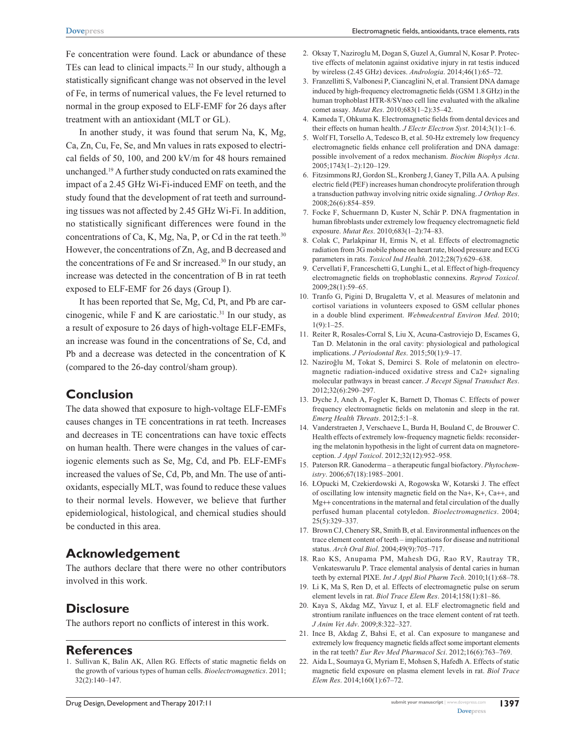Fe concentration were found. Lack or abundance of these TEs can lead to clinical impacts.<sup>22</sup> In our study, although a statistically significant change was not observed in the level of Fe, in terms of numerical values, the Fe level returned to normal in the group exposed to ELF-EMF for 26 days after treatment with an antioxidant (MLT or GL).

In another study, it was found that serum Na, K, Mg, Ca, Zn, Cu, Fe, Se, and Mn values in rats exposed to electrical fields of 50, 100, and 200 kV/m for 48 hours remained unchanged.19 A further study conducted on rats examined the impact of a 2.45 GHz Wi-Fi-induced EMF on teeth, and the study found that the development of rat teeth and surrounding tissues was not affected by 2.45 GHz Wi-Fi. In addition, no statistically significant differences were found in the concentrations of Ca, K, Mg, Na, P, or Cd in the rat teeth. $30$ However, the concentrations of Zn, Ag, and B decreased and the concentrations of Fe and Sr increased.<sup>30</sup> In our study, an increase was detected in the concentration of B in rat teeth exposed to ELF-EMF for 26 days (Group I).

It has been reported that Se, Mg, Cd, Pt, and Pb are carcinogenic, while  $F$  and  $K$  are cariostatic.<sup>31</sup> In our study, as a result of exposure to 26 days of high-voltage ELF-EMFs, an increase was found in the concentrations of Se, Cd, and Pb and a decrease was detected in the concentration of K (compared to the 26-day control/sham group).

# **Conclusion**

The data showed that exposure to high-voltage ELF-EMFs causes changes in TE concentrations in rat teeth. Increases and decreases in TE concentrations can have toxic effects on human health. There were changes in the values of cariogenic elements such as Se, Mg, Cd, and Pb. ELF-EMFs increased the values of Se, Cd, Pb, and Mn. The use of antioxidants, especially MLT, was found to reduce these values to their normal levels. However, we believe that further epidemiological, histological, and chemical studies should be conducted in this area.

# **Acknowledgement**

The authors declare that there were no other contributors involved in this work.

# **Disclosure**

The authors report no conflicts of interest in this work.

#### **References**

1. Sullivan K, Balin AK, Allen RG. Effects of static magnetic fields on the growth of various types of human cells. *Bioelectromagnetics*. 2011; 32(2):140–147.

- 2. Oksay T, Naziroglu M, Dogan S, Guzel A, Gumral N, Kosar P. Protective effects of melatonin against oxidative injury in rat testis induced by wireless (2.45 GHz) devices. *Andrologia*. 2014;46(1):65–72.
- 3. Franzellitti S, Valbonesi P, Ciancaglini N, et al. Transient DNA damage induced by high-frequency electromagnetic fields (GSM 1.8 GHz) in the human trophoblast HTR-8/SVneo cell line evaluated with the alkaline comet assay. *Mutat Res*. 2010;683(1–2):35–42.
- 4. Kameda T, Ohkuma K. Electromagnetic fields from dental devices and their effects on human health. *J Electr Electron Syst*. 2014;3(1):1–6.
- 5. Wolf FI, Torsello A, Tedesco B, et al. 50-Hz extremely low frequency electromagnetic fields enhance cell proliferation and DNA damage: possible involvement of a redox mechanism. *Biochim Biophys Acta*. 2005;1743(1–2):120–129.
- 6. Fitzsimmons RJ, Gordon SL, Kronberg J, Ganey T, Pilla AA. A pulsing electric field (PEF) increases human chondrocyte proliferation through a transduction pathway involving nitric oxide signaling. *J Orthop Res*. 2008;26(6):854–859.
- 7. Focke F, Schuermann D, Kuster N, Schär P. DNA fragmentation in human fibroblasts under extremely low frequency electromagnetic field exposure. *Mutat Res*. 2010;683(1–2):74–83.
- 8. Colak C, Parlakpinar H, Ermis N, et al. Effects of electromagnetic radiation from 3G mobile phone on heart rate, blood pressure and ECG parameters in rats. *Toxicol Ind Health*. 2012;28(7):629–638.
- 9. Cervellati F, Franceschetti G, Lunghi L, et al. Effect of high-frequency electromagnetic fields on trophoblastic connexins. *Reprod Toxicol*. 2009;28(1):59–65.
- 10. Tranfo G, Pigini D, Brugaletta V, et al. Measures of melatonin and cortisol variations in volunteers exposed to GSM cellular phones in a double blind experiment. *Webmedcentral Environ Med*. 2010;  $1(9):1-25.$
- 11. Reiter R, Rosales-Corral S, Liu X, Acuna-Castroviejo D, Escames G, Tan D. Melatonin in the oral cavity: physiological and pathological implications. *J Periodontal Res*. 2015;50(1):9–17.
- 12. Naziroğlu M, Tokat S, Demirci S. Role of melatonin on electromagnetic radiation-induced oxidative stress and Ca2+ signaling molecular pathways in breast cancer. *J Recept Signal Transduct Res*. 2012;32(6):290–297.
- 13. Dyche J, Anch A, Fogler K, Barnett D, Thomas C. Effects of power frequency electromagnetic fields on melatonin and sleep in the rat. *Emerg Health Threats*. 2012;5:1–8.
- 14. Vanderstraeten J, Verschaeve L, Burda H, Bouland C, de Brouwer C. Health effects of extremely low-frequency magnetic fields: reconsidering the melatonin hypothesis in the light of current data on magnetoreception. *J Appl Toxicol*. 2012;32(12):952–958.
- 15. Paterson RR. Ganoderma a therapeutic fungal biofactory. *Phytochemistry*. 2006;67(18):1985–2001.
- 16. ŁOpucki M, Czekierdowski A, Rogowska W, Kotarski J. The effect of oscillating low intensity magnetic field on the Na+, K+, Ca++, and Mg++ concentrations in the maternal and fetal circulation of the dually perfused human placental cotyledon. *Bioelectromagnetics*. 2004; 25(5):329–337.
- 17. Brown CJ, Chenery SR, Smith B, et al. Environmental influences on the trace element content of teeth – implications for disease and nutritional status. *Arch Oral Biol*. 2004;49(9):705–717.
- 18. Rao KS, Anupama PM, Mahesh DG, Rao RV, Rautray TR, Venkateswarulu P. Trace elemental analysis of dental caries in human teeth by external PIXE. *Int J Appl Biol Pharm Tech*. 2010;1(1):68–78.
- 19. Li K, Ma S, Ren D, et al. Effects of electromagnetic pulse on serum element levels in rat. *Biol Trace Elem Res*. 2014;158(1):81–86.
- 20. Kaya S, Akdag MZ, Yavuz I, et al. ELF electromagnetic field and strontium ranilate influences on the trace element content of rat teeth. *J Anim Vet Adv*. 2009;8:322–327.
- 21. Ince B, Akdag Z, Bahsi E, et al. Can exposure to manganese and extremely low frequency magnetic fields affect some important elements in the rat teeth? *Eur Rev Med Pharmacol Sci*. 2012;16(6):763–769.
- 22. Aida L, Soumaya G, Myriam E, Mohsen S, Hafedh A. Effects of static magnetic field exposure on plasma element levels in rat. *Biol Trace Elem Res*. 2014;160(1):67–72.